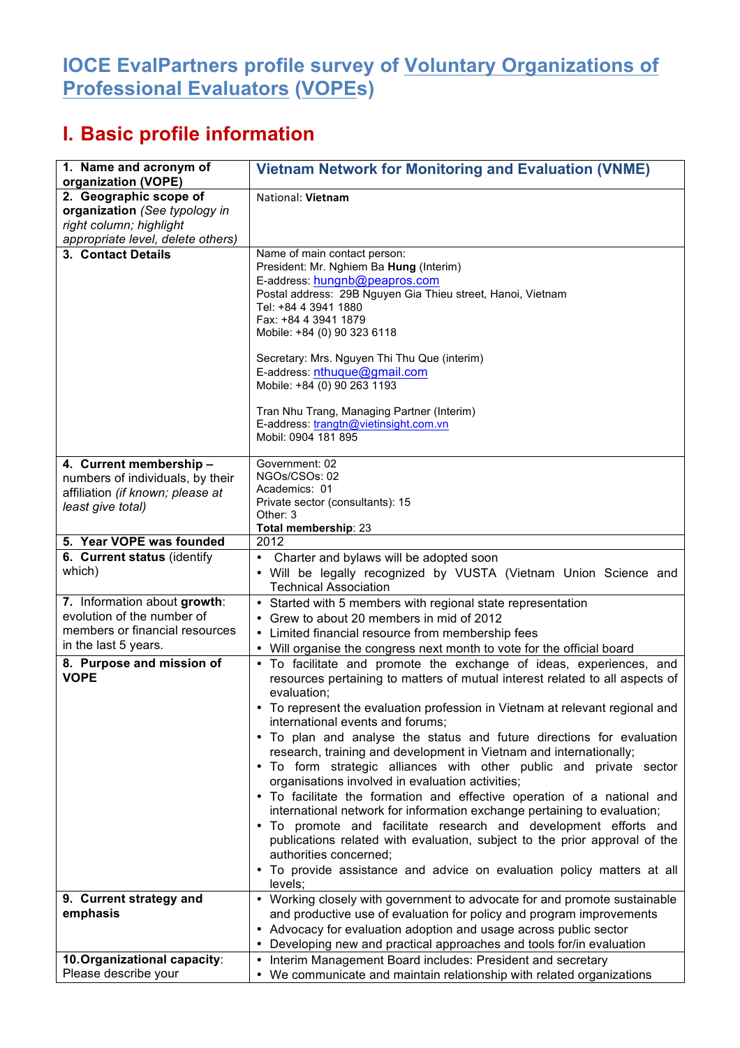## **IOCE EvalPartners profile survey of Voluntary Organizations of Professional Evaluators (VOPEs)**

## **I. Basic profile information**

| 1. Name and acronym of<br>organization (VOPE)                                                                                                                    | <b>Vietnam Network for Monitoring and Evaluation (VNME)</b>                                                                                                                                                                                                                                                                                                                                                                                                                                                                                                                                                                                                                                                                                                                                                                         |
|------------------------------------------------------------------------------------------------------------------------------------------------------------------|-------------------------------------------------------------------------------------------------------------------------------------------------------------------------------------------------------------------------------------------------------------------------------------------------------------------------------------------------------------------------------------------------------------------------------------------------------------------------------------------------------------------------------------------------------------------------------------------------------------------------------------------------------------------------------------------------------------------------------------------------------------------------------------------------------------------------------------|
| 2. Geographic scope of<br>organization (See typology in<br>right column; highlight<br>appropriate level, delete others)                                          | National: Vietnam                                                                                                                                                                                                                                                                                                                                                                                                                                                                                                                                                                                                                                                                                                                                                                                                                   |
| 3. Contact Details                                                                                                                                               | Name of main contact person:<br>President: Mr. Nghiem Ba Hung (Interim)<br>E-address: hungnb@peapros.com<br>Postal address: 29B Nguyen Gia Thieu street, Hanoi, Vietnam<br>Tel: +84 4 3941 1880<br>Fax: +84 4 3941 1879<br>Mobile: +84 (0) 90 323 6118<br>Secretary: Mrs. Nguyen Thi Thu Que (interim)<br>E-address: nthuque@gmail.com<br>Mobile: +84 (0) 90 263 1193<br>Tran Nhu Trang, Managing Partner (Interim)<br>E-address: trangtn@vietinsight.com.vn<br>Mobil: 0904 181 895                                                                                                                                                                                                                                                                                                                                                 |
| 4. Current membership -<br>numbers of individuals, by their<br>affiliation (if known; please at<br>least give total)                                             | Government: 02<br>NGOs/CSOs: 02<br>Academics: 01<br>Private sector (consultants): 15<br>Other: 3<br>Total membership: 23                                                                                                                                                                                                                                                                                                                                                                                                                                                                                                                                                                                                                                                                                                            |
| 5. Year VOPE was founded                                                                                                                                         | 2012                                                                                                                                                                                                                                                                                                                                                                                                                                                                                                                                                                                                                                                                                                                                                                                                                                |
| 6. Current status (identify<br>which)                                                                                                                            | Charter and bylaws will be adopted soon<br>• Will be legally recognized by VUSTA (Vietnam Union Science and<br><b>Technical Association</b>                                                                                                                                                                                                                                                                                                                                                                                                                                                                                                                                                                                                                                                                                         |
| 7. Information about growth:<br>evolution of the number of<br>members or financial resources<br>in the last 5 years.<br>8. Purpose and mission of<br><b>VOPE</b> | • Started with 5 members with regional state representation<br>Grew to about 20 members in mid of 2012<br>• Limited financial resource from membership fees<br>• Will organise the congress next month to vote for the official board<br>• To facilitate and promote the exchange of ideas, experiences, and<br>resources pertaining to matters of mutual interest related to all aspects of                                                                                                                                                                                                                                                                                                                                                                                                                                        |
|                                                                                                                                                                  | evaluation;<br>To represent the evaluation profession in Vietnam at relevant regional and<br>٠<br>international events and forums;<br>• To plan and analyse the status and future directions for evaluation<br>research, training and development in Vietnam and internationally;<br>. To form strategic alliances with other public and private sector<br>organisations involved in evaluation activities;<br>• To facilitate the formation and effective operation of a national and<br>international network for information exchange pertaining to evaluation;<br>. To promote and facilitate research and development efforts and<br>publications related with evaluation, subject to the prior approval of the<br>authorities concerned;<br>• To provide assistance and advice on evaluation policy matters at all<br>levels; |
| 9. Current strategy and<br>emphasis                                                                                                                              | • Working closely with government to advocate for and promote sustainable<br>and productive use of evaluation for policy and program improvements<br>• Advocacy for evaluation adoption and usage across public sector                                                                                                                                                                                                                                                                                                                                                                                                                                                                                                                                                                                                              |
|                                                                                                                                                                  | • Developing new and practical approaches and tools for/in evaluation                                                                                                                                                                                                                                                                                                                                                                                                                                                                                                                                                                                                                                                                                                                                                               |
| 10. Organizational capacity:<br>Please describe your                                                                                                             | Interim Management Board includes: President and secretary<br>We communicate and maintain relationship with related organizations                                                                                                                                                                                                                                                                                                                                                                                                                                                                                                                                                                                                                                                                                                   |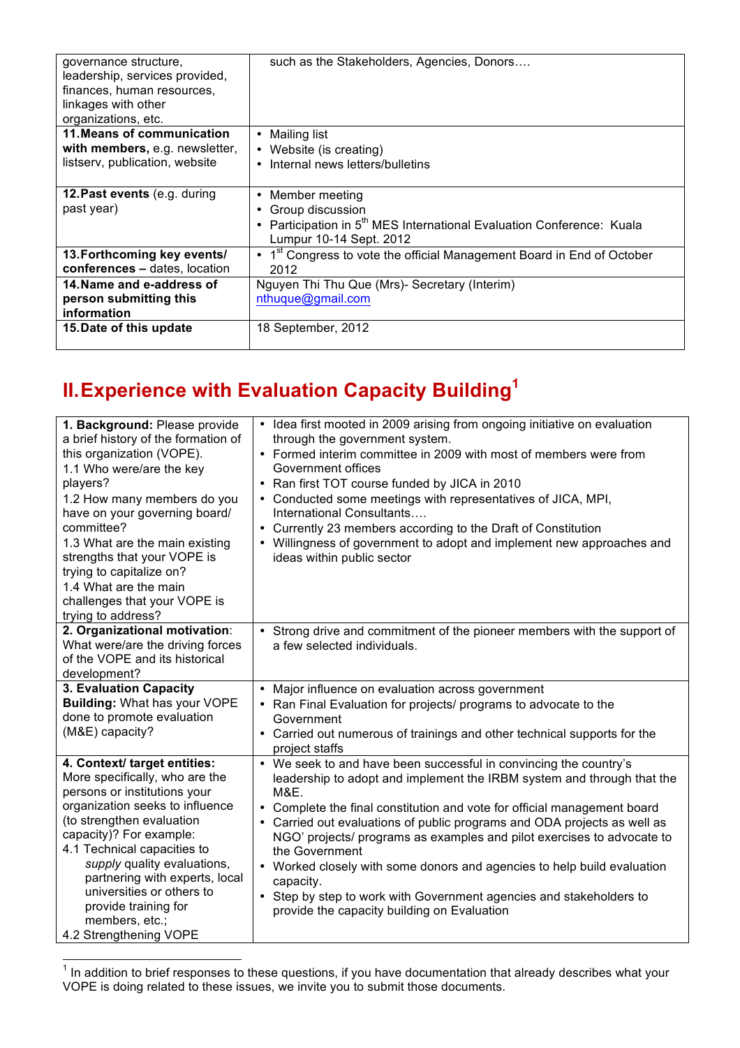| governance structure,<br>leadership, services provided,<br>finances, human resources,<br>linkages with other<br>organizations, etc. | such as the Stakeholders, Agencies, Donors                                         |
|-------------------------------------------------------------------------------------------------------------------------------------|------------------------------------------------------------------------------------|
| 11. Means of communication                                                                                                          | • Mailing list                                                                     |
| with members, e.g. newsletter,                                                                                                      | • Website (is creating)                                                            |
| listserv, publication, website                                                                                                      |                                                                                    |
|                                                                                                                                     | Internal news letters/bulletins                                                    |
|                                                                                                                                     |                                                                                    |
| 12. Past events (e.g. during                                                                                                        | • Member meeting                                                                   |
| past year)                                                                                                                          | Group discussion                                                                   |
|                                                                                                                                     | • Participation in 5 <sup>th</sup> MES International Evaluation Conference: Kuala  |
|                                                                                                                                     | Lumpur 10-14 Sept. 2012                                                            |
|                                                                                                                                     |                                                                                    |
| 13. Forthcoming key events/                                                                                                         | • 1 <sup>st</sup> Congress to vote the official Management Board in End of October |
| conferences - dates, location                                                                                                       | 2012                                                                               |
| 14. Name and e-address of                                                                                                           | Nguyen Thi Thu Que (Mrs)- Secretary (Interim)                                      |
| person submitting this                                                                                                              | nthuque@gmail.com                                                                  |
| information                                                                                                                         |                                                                                    |
| 15. Date of this update                                                                                                             | 18 September, 2012                                                                 |
|                                                                                                                                     |                                                                                    |

## **II.Experience with Evaluation Capacity Building<sup>1</sup>**

| 1. Background: Please provide<br>a brief history of the formation of<br>this organization (VOPE).<br>1.1 Who were/are the key<br>players?<br>1.2 How many members do you<br>have on your governing board/<br>committee?<br>1.3 What are the main existing<br>strengths that your VOPE is<br>trying to capitalize on?<br>1.4 What are the main<br>challenges that your VOPE is<br>trying to address? | • Idea first mooted in 2009 arising from ongoing initiative on evaluation<br>through the government system.<br>• Formed interim committee in 2009 with most of members were from<br>Government offices<br>• Ran first TOT course funded by JICA in 2010<br>• Conducted some meetings with representatives of JICA, MPI,<br>International Consultants<br>• Currently 23 members according to the Draft of Constitution<br>• Willingness of government to adopt and implement new approaches and<br>ideas within public sector                                                                                          |
|-----------------------------------------------------------------------------------------------------------------------------------------------------------------------------------------------------------------------------------------------------------------------------------------------------------------------------------------------------------------------------------------------------|-----------------------------------------------------------------------------------------------------------------------------------------------------------------------------------------------------------------------------------------------------------------------------------------------------------------------------------------------------------------------------------------------------------------------------------------------------------------------------------------------------------------------------------------------------------------------------------------------------------------------|
| 2. Organizational motivation:<br>What were/are the driving forces<br>of the VOPE and its historical<br>development?                                                                                                                                                                                                                                                                                 | • Strong drive and commitment of the pioneer members with the support of<br>a few selected individuals.                                                                                                                                                                                                                                                                                                                                                                                                                                                                                                               |
| 3. Evaluation Capacity<br><b>Building: What has your VOPE</b><br>done to promote evaluation<br>(M&E) capacity?                                                                                                                                                                                                                                                                                      | Major influence on evaluation across government<br>$\bullet$<br>• Ran Final Evaluation for projects/ programs to advocate to the<br>Government<br>• Carried out numerous of trainings and other technical supports for the<br>project staffs                                                                                                                                                                                                                                                                                                                                                                          |
| 4. Context/ target entities:<br>More specifically, who are the<br>persons or institutions your<br>organization seeks to influence<br>(to strengthen evaluation<br>capacity)? For example:<br>4.1 Technical capacities to<br>supply quality evaluations,<br>partnering with experts, local<br>universities or others to<br>provide training for<br>members, etc.;<br>4.2 Strengthening VOPE          | • We seek to and have been successful in convincing the country's<br>leadership to adopt and implement the IRBM system and through that the<br>M&E.<br>• Complete the final constitution and vote for official management board<br>• Carried out evaluations of public programs and ODA projects as well as<br>NGO' projects/ programs as examples and pilot exercises to advocate to<br>the Government<br>• Worked closely with some donors and agencies to help build evaluation<br>capacity.<br>• Step by step to work with Government agencies and stakeholders to<br>provide the capacity building on Evaluation |

The addition to brief responses to these questions, if you have documentation that already describes what your<br>The addition to brief responses to these questions, if you have documentation that already describes what your VOPE is doing related to these issues, we invite you to submit those documents.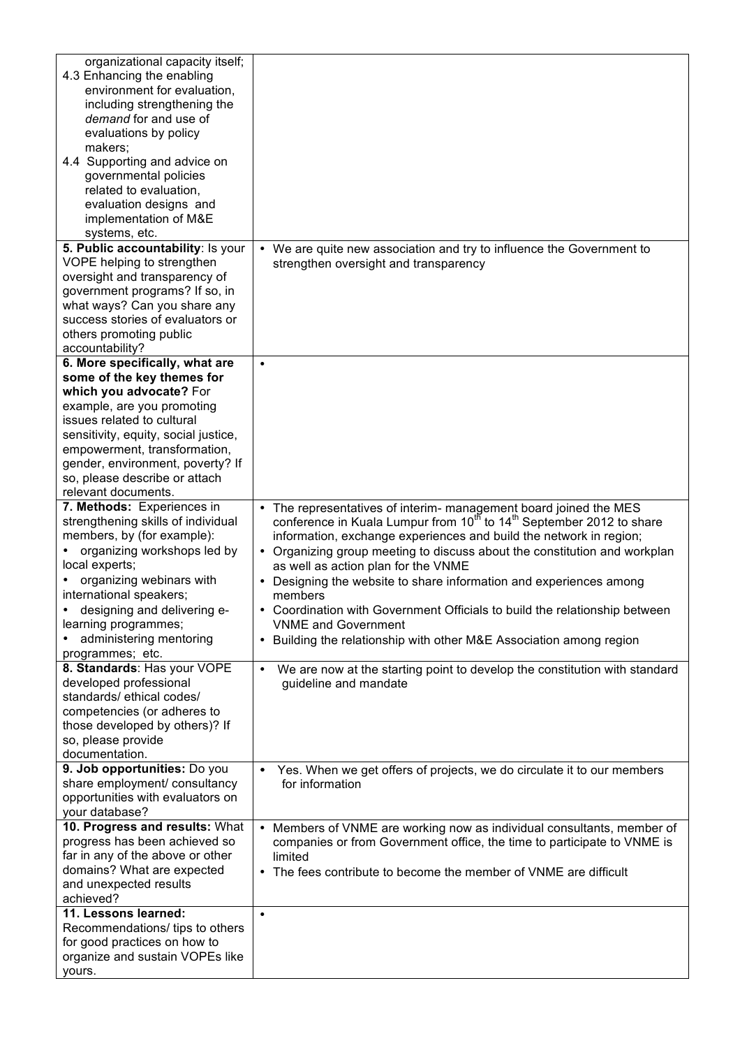| organizational capacity itself;                                 |                                                                                              |
|-----------------------------------------------------------------|----------------------------------------------------------------------------------------------|
| 4.3 Enhancing the enabling                                      |                                                                                              |
| environment for evaluation,                                     |                                                                                              |
| including strengthening the                                     |                                                                                              |
| demand for and use of                                           |                                                                                              |
| evaluations by policy                                           |                                                                                              |
| makers;                                                         |                                                                                              |
| 4.4 Supporting and advice on                                    |                                                                                              |
| governmental policies                                           |                                                                                              |
| related to evaluation,                                          |                                                                                              |
| evaluation designs and                                          |                                                                                              |
| implementation of M&E                                           |                                                                                              |
| systems, etc.                                                   |                                                                                              |
| 5. Public accountability: Is your                               | • We are quite new association and try to influence the Government to                        |
| VOPE helping to strengthen                                      | strengthen oversight and transparency                                                        |
| oversight and transparency of                                   |                                                                                              |
| government programs? If so, in                                  |                                                                                              |
| what ways? Can you share any                                    |                                                                                              |
| success stories of evaluators or                                |                                                                                              |
| others promoting public                                         |                                                                                              |
| accountability?                                                 |                                                                                              |
| 6. More specifically, what are                                  | $\bullet$                                                                                    |
| some of the key themes for                                      |                                                                                              |
| which you advocate? For                                         |                                                                                              |
| example, are you promoting                                      |                                                                                              |
| issues related to cultural                                      |                                                                                              |
| sensitivity, equity, social justice,                            |                                                                                              |
| empowerment, transformation,                                    |                                                                                              |
| gender, environment, poverty? If                                |                                                                                              |
| so, please describe or attach                                   |                                                                                              |
| relevant documents.                                             |                                                                                              |
| 7. Methods: Experiences in                                      | The representatives of interim- management board joined the MES<br>$\bullet$                 |
| strengthening skills of individual                              | conference in Kuala Lumpur from 10 <sup>th</sup> to 14 <sup>th</sup> September 2012 to share |
| members, by (for example):                                      | information, exchange experiences and build the network in region;                           |
| organizing workshops led by                                     | • Organizing group meeting to discuss about the constitution and workplan                    |
| local experts;                                                  | as well as action plan for the VNME                                                          |
| organizing webinars with                                        | Designing the website to share information and experiences among                             |
| international speakers;                                         | members                                                                                      |
| designing and delivering e-                                     | • Coordination with Government Officials to build the relationship between                   |
| learning programmes;                                            | <b>VNME</b> and Government                                                                   |
| administering mentoring                                         | • Building the relationship with other M&E Association among region                          |
| programmes; etc.                                                |                                                                                              |
| 8. Standards: Has your VOPE                                     | • We are now at the starting point to develop the constitution with standard                 |
| developed professional                                          | guideline and mandate                                                                        |
| standards/ ethical codes/                                       |                                                                                              |
| competencies (or adheres to                                     |                                                                                              |
| those developed by others)? If                                  |                                                                                              |
| so, please provide                                              |                                                                                              |
| documentation.                                                  |                                                                                              |
| 9. Job opportunities: Do you                                    | Yes. When we get offers of projects, we do circulate it to our members<br>٠                  |
| share employment/ consultancy                                   | for information                                                                              |
| opportunities with evaluators on                                |                                                                                              |
| your database?                                                  |                                                                                              |
| 10. Progress and results: What                                  | Members of VNME are working now as individual consultants, member of<br>$\bullet$            |
| progress has been achieved so                                   | companies or from Government office, the time to participate to VNME is                      |
| far in any of the above or other                                | limited                                                                                      |
| domains? What are expected                                      | • The fees contribute to become the member of VNME are difficult                             |
| and unexpected results                                          |                                                                                              |
| achieved?                                                       |                                                                                              |
| 11. Lessons learned:                                            | $\bullet$                                                                                    |
| Recommendations/ tips to others                                 |                                                                                              |
| for good practices on how to<br>organize and sustain VOPEs like |                                                                                              |
|                                                                 |                                                                                              |
| yours.                                                          |                                                                                              |